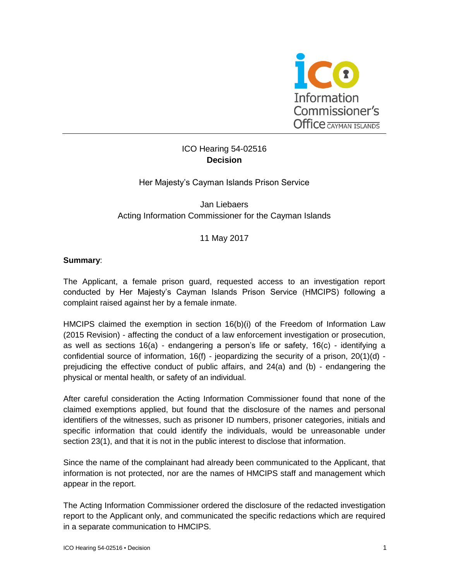

# ICO Hearing 54-02516 **Decision**

## Her Majesty's Cayman Islands Prison Service

Jan Liebaers Acting Information Commissioner for the Cayman Islands

11 May 2017

## **Summary**:

The Applicant, a female prison guard, requested access to an investigation report conducted by Her Majesty's Cayman Islands Prison Service (HMCIPS) following a complaint raised against her by a female inmate.

HMCIPS claimed the exemption in section 16(b)(i) of the Freedom of Information Law (2015 Revision) - affecting the conduct of a law enforcement investigation or prosecution, as well as sections 16(a) - endangering a person's life or safety, 16(c) - identifying a confidential source of information,  $16(f)$  - jeopardizing the security of a prison,  $20(1)(d)$  prejudicing the effective conduct of public affairs, and 24(a) and (b) - endangering the physical or mental health, or safety of an individual.

After careful consideration the Acting Information Commissioner found that none of the claimed exemptions applied, but found that the disclosure of the names and personal identifiers of the witnesses, such as prisoner ID numbers, prisoner categories, initials and specific information that could identify the individuals, would be unreasonable under section 23(1), and that it is not in the public interest to disclose that information.

Since the name of the complainant had already been communicated to the Applicant, that information is not protected, nor are the names of HMCIPS staff and management which appear in the report.

The Acting Information Commissioner ordered the disclosure of the redacted investigation report to the Applicant only, and communicated the specific redactions which are required in a separate communication to HMCIPS.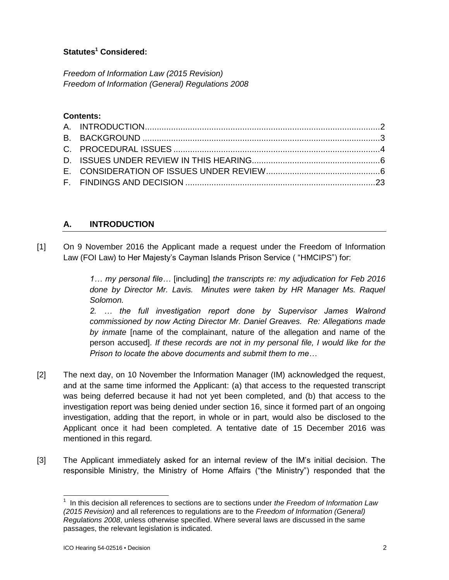# **Statutes<sup>1</sup> Considered:**

*Freedom of Information Law (2015 Revision) Freedom of Information (General) Regulations 2008*

## **Contents:**

## **A. INTRODUCTION**

[1] On 9 November 2016 the Applicant made a request under the Freedom of Information Law (FOI Law) to Her Majesty's Cayman Islands Prison Service ( "HMCIPS") for:

> *1… my personal file…* [including] *the transcripts re: my adjudication for Feb 2016 done by Director Mr. Lavis. Minutes were taken by HR Manager Ms. Raquel Solomon.*

> *2. … the full investigation report done by Supervisor James Walrond commissioned by now Acting Director Mr. Daniel Greaves. Re: Allegations made by inmate* [name of the complainant, nature of the allegation and name of the person accused]. *If these records are not in my personal file, I would like for the Prison to locate the above documents and submit them to me…*

- [2] The next day, on 10 November the Information Manager (IM) acknowledged the request, and at the same time informed the Applicant: (a) that access to the requested transcript was being deferred because it had not yet been completed, and (b) that access to the investigation report was being denied under section 16, since it formed part of an ongoing investigation, adding that the report, in whole or in part, would also be disclosed to the Applicant once it had been completed. A tentative date of 15 December 2016 was mentioned in this regard.
- [3] The Applicant immediately asked for an internal review of the IM's initial decision. The responsible Ministry, the Ministry of Home Affairs ("the Ministry") responded that the

l

<sup>1</sup> In this decision all references to sections are to sections under *the Freedom of Information Law (2015 Revision)* and all references to regulations are to the *Freedom of Information (General) Regulations 2008*, unless otherwise specified. Where several laws are discussed in the same passages, the relevant legislation is indicated.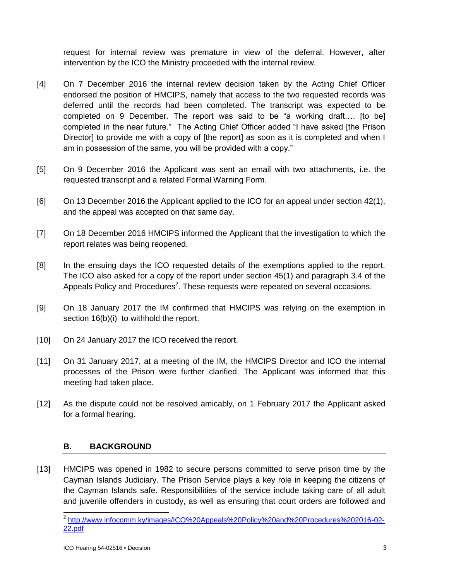request for internal review was premature in view of the deferral. However, after intervention by the ICO the Ministry proceeded with the internal review.

- [4] On 7 December 2016 the internal review decision taken by the Acting Chief Officer endorsed the position of HMCIPS, namely that access to the two requested records was deferred until the records had been completed. The transcript was expected to be completed on 9 December. The report was said to be "a working draft…. [to be] completed in the near future." The Acting Chief Officer added "I have asked [the Prison Director] to provide me with a copy of [the report] as soon as it is completed and when I am in possession of the same, you will be provided with a copy."
- [5] On 9 December 2016 the Applicant was sent an email with two attachments, i.e. the requested transcript and a related Formal Warning Form.
- [6] On 13 December 2016 the Applicant applied to the ICO for an appeal under section 42(1), and the appeal was accepted on that same day.
- [7] On 18 December 2016 HMCIPS informed the Applicant that the investigation to which the report relates was being reopened.
- [8] In the ensuing days the ICO requested details of the exemptions applied to the report. The ICO also asked for a copy of the report under section 45(1) and paragraph 3.4 of the Appeals Policy and Procedures<sup>2</sup>. These requests were repeated on several occasions.
- [9] On 18 January 2017 the IM confirmed that HMCIPS was relying on the exemption in section  $16(b)(i)$  to withhold the report.
- [10] On 24 January 2017 the ICO received the report.
- [11] On 31 January 2017, at a meeting of the IM, the HMCIPS Director and ICO the internal processes of the Prison were further clarified. The Applicant was informed that this meeting had taken place.
- [12] As the dispute could not be resolved amicably, on 1 February 2017 the Applicant asked for a formal hearing.

## **B. BACKGROUND**

[13] HMCIPS was opened in 1982 to secure persons committed to serve prison time by the Cayman Islands Judiciary. The Prison Service plays a key role in keeping the citizens of the Cayman Islands safe. Responsibilities of the service include taking care of all adult and juvenile offenders in custody, as well as ensuring that court orders are followed and

 2 [http://www.infocomm.ky/images/ICO%20Appeals%20Policy%20and%20Procedures%202016-02-](http://www.infocomm.ky/images/ICO%20Appeals%20Policy%20and%20Procedures%202016-02-22.pdf) [22.pdf](http://www.infocomm.ky/images/ICO%20Appeals%20Policy%20and%20Procedures%202016-02-22.pdf)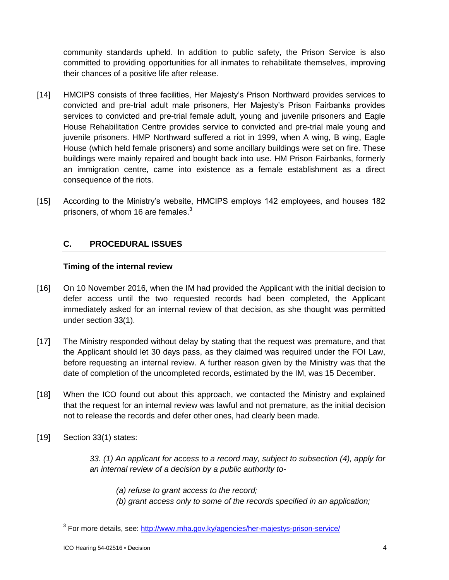community standards upheld. In addition to public safety, the Prison Service is also committed to providing opportunities for all inmates to rehabilitate themselves, improving their chances of a positive life after release.

- [14] HMCIPS consists of three facilities, Her Majesty's Prison Northward provides services to convicted and pre-trial adult male prisoners, Her Majesty's Prison Fairbanks provides services to convicted and pre-trial female adult, young and juvenile prisoners and Eagle House Rehabilitation Centre provides service to convicted and pre-trial male young and juvenile prisoners. HMP Northward suffered a riot in 1999, when A wing, B wing, Eagle House (which held female prisoners) and some ancillary buildings were set on fire. These buildings were mainly repaired and bought back into use. HM Prison Fairbanks, formerly an immigration centre, came into existence as a female establishment as a direct consequence of the riots.
- [15] According to the Ministry's website, HMCIPS employs 142 employees, and houses 182 prisoners, of whom 16 are females.<sup>3</sup>

## **C. PROCEDURAL ISSUES**

## **Timing of the internal review**

- [16] On 10 November 2016, when the IM had provided the Applicant with the initial decision to defer access until the two requested records had been completed, the Applicant immediately asked for an internal review of that decision, as she thought was permitted under section 33(1).
- [17] The Ministry responded without delay by stating that the request was premature, and that the Applicant should let 30 days pass, as they claimed was required under the FOI Law, before requesting an internal review. A further reason given by the Ministry was that the date of completion of the uncompleted records, estimated by the IM, was 15 December.
- [18] When the ICO found out about this approach, we contacted the Ministry and explained that the request for an internal review was lawful and not premature, as the initial decision not to release the records and defer other ones, had clearly been made.
- [19] Section 33(1) states:

*33. (1) An applicant for access to a record may, subject to subsection (4), apply for an internal review of a decision by a public authority to-*

*(a) refuse to grant access to the record; (b) grant access only to some of the records specified in an application;*

<sup>&</sup>lt;u>.</u><br><sup>3</sup> For more details, see: <u>http://www.mha.gov.ky/agencies/her-majestys-prison-service/</u>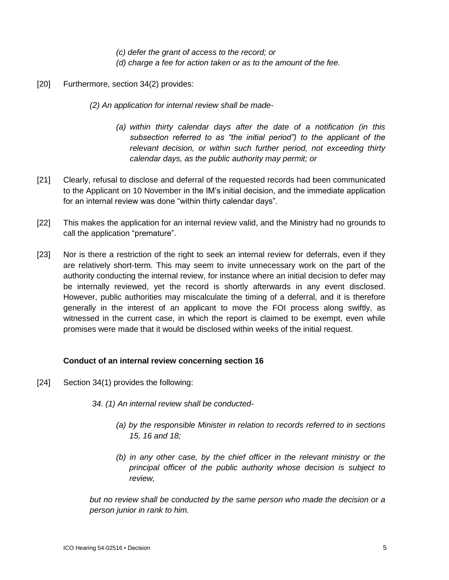*(c) defer the grant of access to the record; or (d) charge a fee for action taken or as to the amount of the fee.*

- [20] Furthermore, section 34(2) provides:
	- *(2) An application for internal review shall be made-*
		- *(a) within thirty calendar days after the date of a notification (in this subsection referred to as "the initial period") to the applicant of the relevant decision, or within such further period, not exceeding thirty calendar days, as the public authority may permit; or*
- [21] Clearly, refusal to disclose and deferral of the requested records had been communicated to the Applicant on 10 November in the IM's initial decision, and the immediate application for an internal review was done "within thirty calendar days".
- [22] This makes the application for an internal review valid, and the Ministry had no grounds to call the application "premature".
- [23] Nor is there a restriction of the right to seek an internal review for deferrals, even if they are relatively short-term. This may seem to invite unnecessary work on the part of the authority conducting the internal review, for instance where an initial decision to defer may be internally reviewed, yet the record is shortly afterwards in any event disclosed. However, public authorities may miscalculate the timing of a deferral, and it is therefore generally in the interest of an applicant to move the FOI process along swiftly, as witnessed in the current case, in which the report is claimed to be exempt, even while promises were made that it would be disclosed within weeks of the initial request.

## **Conduct of an internal review concerning section 16**

- [24] Section 34(1) provides the following:
	- *34. (1) An internal review shall be conducted-*
		- *(a) by the responsible Minister in relation to records referred to in sections 15, 16 and 18;*
		- *(b) in any other case, by the chief officer in the relevant ministry or the principal officer of the public authority whose decision is subject to review,*

*but no review shall be conducted by the same person who made the decision or a person junior in rank to him.*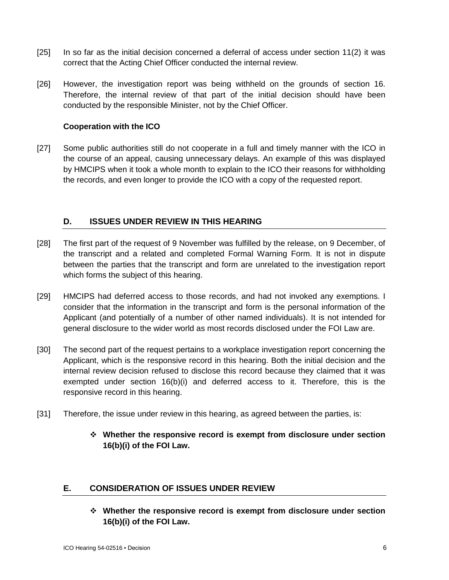- [25] In so far as the initial decision concerned a deferral of access under section 11(2) it was correct that the Acting Chief Officer conducted the internal review.
- [26] However, the investigation report was being withheld on the grounds of section 16. Therefore, the internal review of that part of the initial decision should have been conducted by the responsible Minister, not by the Chief Officer.

## **Cooperation with the ICO**

[27] Some public authorities still do not cooperate in a full and timely manner with the ICO in the course of an appeal, causing unnecessary delays. An example of this was displayed by HMCIPS when it took a whole month to explain to the ICO their reasons for withholding the records, and even longer to provide the ICO with a copy of the requested report.

## **D. ISSUES UNDER REVIEW IN THIS HEARING**

- [28] The first part of the request of 9 November was fulfilled by the release, on 9 December, of the transcript and a related and completed Formal Warning Form. It is not in dispute between the parties that the transcript and form are unrelated to the investigation report which forms the subject of this hearing.
- [29] HMCIPS had deferred access to those records, and had not invoked any exemptions. I consider that the information in the transcript and form is the personal information of the Applicant (and potentially of a number of other named individuals). It is not intended for general disclosure to the wider world as most records disclosed under the FOI Law are.
- [30] The second part of the request pertains to a workplace investigation report concerning the Applicant, which is the responsive record in this hearing. Both the initial decision and the internal review decision refused to disclose this record because they claimed that it was exempted under section 16(b)(i) and deferred access to it. Therefore, this is the responsive record in this hearing.
- [31] Therefore, the issue under review in this hearing, as agreed between the parties, is:
	- **Whether the responsive record is exempt from disclosure under section 16(b)(i) of the FOI Law.**

## **E. CONSIDERATION OF ISSUES UNDER REVIEW**

 **Whether the responsive record is exempt from disclosure under section 16(b)(i) of the FOI Law.**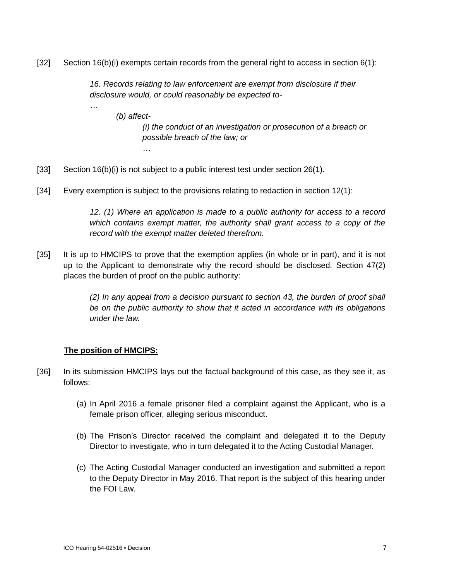[32] Section 16(b)(i) exempts certain records from the general right to access in section 6(1):

*16. Records relating to law enforcement are exempt from disclosure if their disclosure would, or could reasonably be expected to-*

*(b) affect-*

*…*

*…*

*(i) the conduct of an investigation or prosecution of a breach or possible breach of the law; or*

- [33] Section 16(b)(i) is not subject to a public interest test under section 26(1).
- [34] Every exemption is subject to the provisions relating to redaction in section 12(1):

*12. (1) Where an application is made to a public authority for access to a record which contains exempt matter, the authority shall grant access to a copy of the record with the exempt matter deleted therefrom.*

[35] It is up to HMCIPS to prove that the exemption applies (in whole or in part), and it is not up to the Applicant to demonstrate why the record should be disclosed. Section 47(2) places the burden of proof on the public authority:

> *(2) In any appeal from a decision pursuant to section 43, the burden of proof shall be on the public authority to show that it acted in accordance with its obligations under the law.*

## **The position of HMCIPS:**

- [36] In its submission HMCIPS lays out the factual background of this case, as they see it, as follows:
	- (a) In April 2016 a female prisoner filed a complaint against the Applicant, who is a female prison officer, alleging serious misconduct.
	- (b) The Prison's Director received the complaint and delegated it to the Deputy Director to investigate, who in turn delegated it to the Acting Custodial Manager.
	- (c) The Acting Custodial Manager conducted an investigation and submitted a report to the Deputy Director in May 2016. That report is the subject of this hearing under the FOI Law.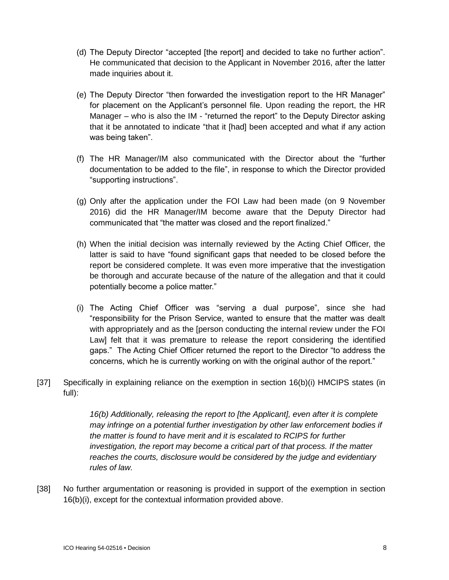- (d) The Deputy Director "accepted [the report] and decided to take no further action". He communicated that decision to the Applicant in November 2016, after the latter made inquiries about it.
- (e) The Deputy Director "then forwarded the investigation report to the HR Manager" for placement on the Applicant's personnel file. Upon reading the report, the HR Manager – who is also the IM - "returned the report" to the Deputy Director asking that it be annotated to indicate "that it [had] been accepted and what if any action was being taken".
- (f) The HR Manager/IM also communicated with the Director about the "further documentation to be added to the file", in response to which the Director provided "supporting instructions".
- (g) Only after the application under the FOI Law had been made (on 9 November 2016) did the HR Manager/IM become aware that the Deputy Director had communicated that "the matter was closed and the report finalized."
- (h) When the initial decision was internally reviewed by the Acting Chief Officer, the latter is said to have "found significant gaps that needed to be closed before the report be considered complete. It was even more imperative that the investigation be thorough and accurate because of the nature of the allegation and that it could potentially become a police matter."
- (i) The Acting Chief Officer was "serving a dual purpose", since she had "responsibility for the Prison Service, wanted to ensure that the matter was dealt with appropriately and as the [person conducting the internal review under the FOI Law] felt that it was premature to release the report considering the identified gaps." The Acting Chief Officer returned the report to the Director "to address the concerns, which he is currently working on with the original author of the report."
- [37] Specifically in explaining reliance on the exemption in section 16(b)(i) HMCIPS states (in full):

*16(b) Additionally, releasing the report to [the Applicant], even after it is complete may infringe on a potential further investigation by other law enforcement bodies if the matter is found to have merit and it is escalated to RCIPS for further investigation, the report may become a critical part of that process. If the matter reaches the courts, disclosure would be considered by the judge and evidentiary rules of law.*

[38] No further argumentation or reasoning is provided in support of the exemption in section 16(b)(i), except for the contextual information provided above.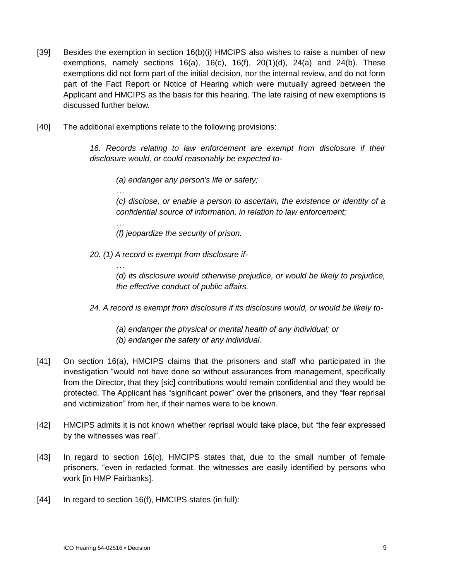- [39] Besides the exemption in section 16(b)(i) HMCIPS also wishes to raise a number of new exemptions, namely sections  $16(a)$ ,  $16(c)$ ,  $16(f)$ ,  $20(1)(d)$ ,  $24(a)$  and  $24(b)$ . These exemptions did not form part of the initial decision, nor the internal review, and do not form part of the Fact Report or Notice of Hearing which were mutually agreed between the Applicant and HMCIPS as the basis for this hearing. The late raising of new exemptions is discussed further below.
- [40] The additional exemptions relate to the following provisions:

*…*

*…*

*…*

*16. Records relating to law enforcement are exempt from disclosure if their disclosure would, or could reasonably be expected to-*

*(a) endanger any person's life or safety;*

*(c) disclose, or enable a person to ascertain, the existence or identity of a confidential source of information, in relation to law enforcement;*

*(f) jeopardize the security of prison.*

*20. (1) A record is exempt from disclosure if-*

*(d) its disclosure would otherwise prejudice, or would be likely to prejudice, the effective conduct of public affairs.*

*24. A record is exempt from disclosure if its disclosure would, or would be likely to-*

*(a) endanger the physical or mental health of any individual; or (b) endanger the safety of any individual.*

- [41] On section 16(a), HMCIPS claims that the prisoners and staff who participated in the investigation "would not have done so without assurances from management, specifically from the Director, that they [sic] contributions would remain confidential and they would be protected. The Applicant has "significant power" over the prisoners, and they "fear reprisal and victimization" from her, if their names were to be known.
- [42] HMCIPS admits it is not known whether reprisal would take place, but "the fear expressed by the witnesses was real".
- [43] In regard to section 16(c), HMCIPS states that, due to the small number of female prisoners, "even in redacted format, the witnesses are easily identified by persons who work [in HMP Fairbanks].
- [44] In regard to section 16(f), HMCIPS states (in full):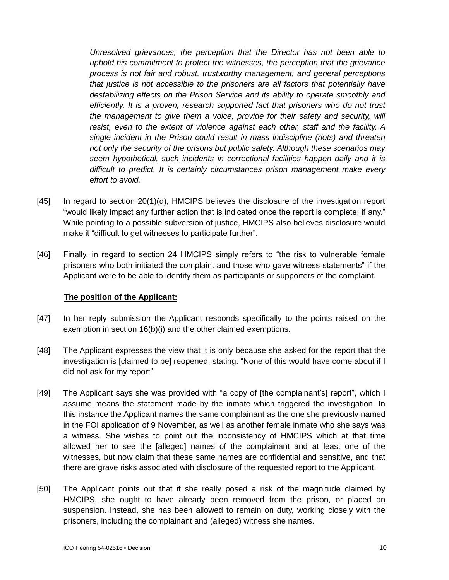*Unresolved grievances, the perception that the Director has not been able to uphold his commitment to protect the witnesses, the perception that the grievance process is not fair and robust, trustworthy management, and general perceptions that justice is not accessible to the prisoners are all factors that potentially have destabilizing effects on the Prison Service and its ability to operate smoothly and efficiently. It is a proven, research supported fact that prisoners who do not trust the management to give them a voice, provide for their safety and security, will resist, even to the extent of violence against each other, staff and the facility. A single incident in the Prison could result in mass indiscipline (riots) and threaten not only the security of the prisons but public safety. Although these scenarios may seem hypothetical, such incidents in correctional facilities happen daily and it is difficult to predict. It is certainly circumstances prison management make every effort to avoid.*

- [45] In regard to section 20(1)(d), HMCIPS believes the disclosure of the investigation report "would likely impact any further action that is indicated once the report is complete, if any." While pointing to a possible subversion of justice, HMCIPS also believes disclosure would make it "difficult to get witnesses to participate further".
- [46] Finally, in regard to section 24 HMCIPS simply refers to "the risk to vulnerable female prisoners who both initiated the complaint and those who gave witness statements" if the Applicant were to be able to identify them as participants or supporters of the complaint.

#### **The position of the Applicant:**

- [47] In her reply submission the Applicant responds specifically to the points raised on the exemption in section 16(b)(i) and the other claimed exemptions.
- [48] The Applicant expresses the view that it is only because she asked for the report that the investigation is [claimed to be] reopened, stating: "None of this would have come about if I did not ask for my report".
- [49] The Applicant says she was provided with "a copy of [the complainant's] report", which I assume means the statement made by the inmate which triggered the investigation. In this instance the Applicant names the same complainant as the one she previously named in the FOI application of 9 November, as well as another female inmate who she says was a witness. She wishes to point out the inconsistency of HMCIPS which at that time allowed her to see the [alleged] names of the complainant and at least one of the witnesses, but now claim that these same names are confidential and sensitive, and that there are grave risks associated with disclosure of the requested report to the Applicant.
- [50] The Applicant points out that if she really posed a risk of the magnitude claimed by HMCIPS, she ought to have already been removed from the prison, or placed on suspension. Instead, she has been allowed to remain on duty, working closely with the prisoners, including the complainant and (alleged) witness she names.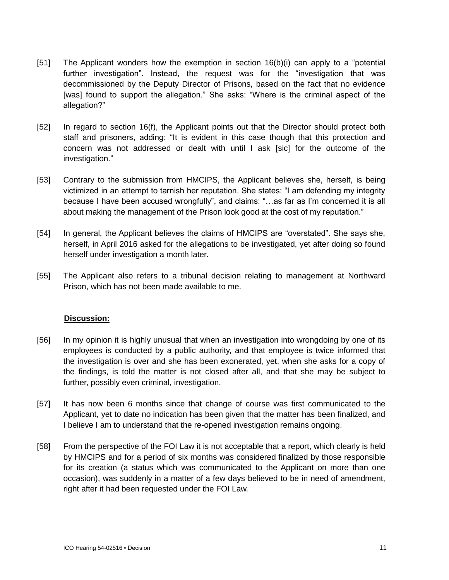- [51] The Applicant wonders how the exemption in section 16(b)(i) can apply to a "potential further investigation". Instead, the request was for the "investigation that was decommissioned by the Deputy Director of Prisons, based on the fact that no evidence [was] found to support the allegation." She asks: "Where is the criminal aspect of the allegation?"
- [52] In regard to section 16(f), the Applicant points out that the Director should protect both staff and prisoners, adding: "It is evident in this case though that this protection and concern was not addressed or dealt with until I ask [sic] for the outcome of the investigation."
- [53] Contrary to the submission from HMCIPS, the Applicant believes she, herself, is being victimized in an attempt to tarnish her reputation. She states: "I am defending my integrity because I have been accused wrongfully", and claims: "…as far as I'm concerned it is all about making the management of the Prison look good at the cost of my reputation."
- [54] In general, the Applicant believes the claims of HMCIPS are "overstated". She says she, herself, in April 2016 asked for the allegations to be investigated, yet after doing so found herself under investigation a month later.
- [55] The Applicant also refers to a tribunal decision relating to management at Northward Prison, which has not been made available to me.

## **Discussion:**

- [56] In my opinion it is highly unusual that when an investigation into wrongdoing by one of its employees is conducted by a public authority, and that employee is twice informed that the investigation is over and she has been exonerated, yet, when she asks for a copy of the findings, is told the matter is not closed after all, and that she may be subject to further, possibly even criminal, investigation.
- [57] It has now been 6 months since that change of course was first communicated to the Applicant, yet to date no indication has been given that the matter has been finalized, and I believe I am to understand that the re-opened investigation remains ongoing.
- [58] From the perspective of the FOI Law it is not acceptable that a report, which clearly is held by HMCIPS and for a period of six months was considered finalized by those responsible for its creation (a status which was communicated to the Applicant on more than one occasion), was suddenly in a matter of a few days believed to be in need of amendment, right after it had been requested under the FOI Law.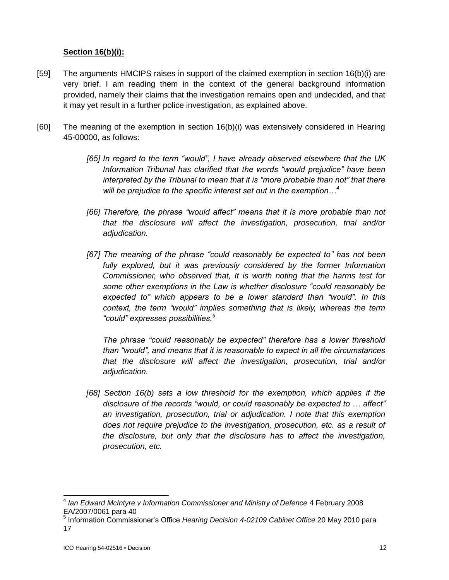### **Section 16(b)(i):**

- [59] The arguments HMCIPS raises in support of the claimed exemption in section 16(b)(i) are very brief. I am reading them in the context of the general background information provided, namely their claims that the investigation remains open and undecided, and that it may yet result in a further police investigation, as explained above.
- [60] The meaning of the exemption in section 16(b)(i) was extensively considered in Hearing 45-00000, as follows:
	- *[65] In regard to the term "would", I have already observed elsewhere that the UK Information Tribunal has clarified that the words "would prejudice" have been interpreted by the Tribunal to mean that it is "more probable than not" that there will be prejudice to the specific interest set out in the exemption…<sup>4</sup>*
	- *[66] Therefore, the phrase "would affect" means that it is more probable than not that the disclosure will affect the investigation, prosecution, trial and/or adjudication.*
	- *[67] The meaning of the phrase "could reasonably be expected to" has not been*  fully explored, but it was previously considered by the former Information *Commissioner, who observed that, It is worth noting that the harms test for some other exemptions in the Law is whether disclosure "could reasonably be expected to" which appears to be a lower standard than "would". In this context, the term "would" implies something that is likely, whereas the term "could" expresses possibilities.<sup>5</sup>*

*The phrase "could reasonably be expected" therefore has a lower threshold than "would", and means that it is reasonable to expect in all the circumstances that the disclosure will affect the investigation, prosecution, trial and/or adjudication.*

*[68] Section 16(b) sets a low threshold for the exemption, which applies if the disclosure of the records "would, or could reasonably be expected to … affect" an investigation, prosecution, trial or adjudication. I note that this exemption does not require prejudice to the investigation, prosecution, etc. as a result of the disclosure, but only that the disclosure has to affect the investigation, prosecution, etc.*

l

<sup>&</sup>lt;sup>4</sup> Ian Edward McIntyre v Information Commissioner and Ministry of Defence 4 February 2008 EA/2007/0061 para 40

<sup>5</sup> Information Commissioner's Office *Hearing Decision 4-02109 Cabinet Office* 20 May 2010 para 17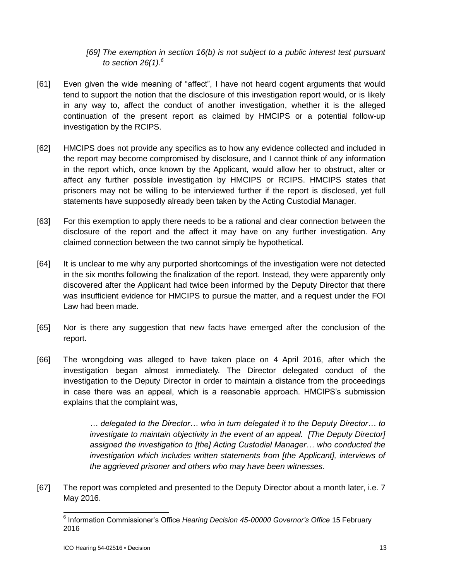## *[69] The exemption in section 16(b) is not subject to a public interest test pursuant to section 26(1).<sup>6</sup>*

- [61] Even given the wide meaning of "affect", I have not heard cogent arguments that would tend to support the notion that the disclosure of this investigation report would, or is likely in any way to, affect the conduct of another investigation, whether it is the alleged continuation of the present report as claimed by HMCIPS or a potential follow-up investigation by the RCIPS.
- [62] HMCIPS does not provide any specifics as to how any evidence collected and included in the report may become compromised by disclosure, and I cannot think of any information in the report which, once known by the Applicant, would allow her to obstruct, alter or affect any further possible investigation by HMCIPS or RCIPS. HMCIPS states that prisoners may not be willing to be interviewed further if the report is disclosed, yet full statements have supposedly already been taken by the Acting Custodial Manager.
- [63] For this exemption to apply there needs to be a rational and clear connection between the disclosure of the report and the affect it may have on any further investigation. Any claimed connection between the two cannot simply be hypothetical.
- [64] It is unclear to me why any purported shortcomings of the investigation were not detected in the six months following the finalization of the report. Instead, they were apparently only discovered after the Applicant had twice been informed by the Deputy Director that there was insufficient evidence for HMCIPS to pursue the matter, and a request under the FOI Law had been made.
- [65] Nor is there any suggestion that new facts have emerged after the conclusion of the report.
- [66] The wrongdoing was alleged to have taken place on 4 April 2016, after which the investigation began almost immediately. The Director delegated conduct of the investigation to the Deputy Director in order to maintain a distance from the proceedings in case there was an appeal, which is a reasonable approach. HMCIPS's submission explains that the complaint was,

*… delegated to the Director… who in turn delegated it to the Deputy Director… to investigate to maintain objectivity in the event of an appeal. [The Deputy Director]*  assigned the investigation to [the] Acting Custodial Manager... who conducted the *investigation which includes written statements from [the Applicant], interviews of the aggrieved prisoner and others who may have been witnesses.*

[67] The report was completed and presented to the Deputy Director about a month later, i.e. 7 May 2016.

 6 Information Commissioner's Office *Hearing Decision 45-00000 Governor's Office* 15 February 2016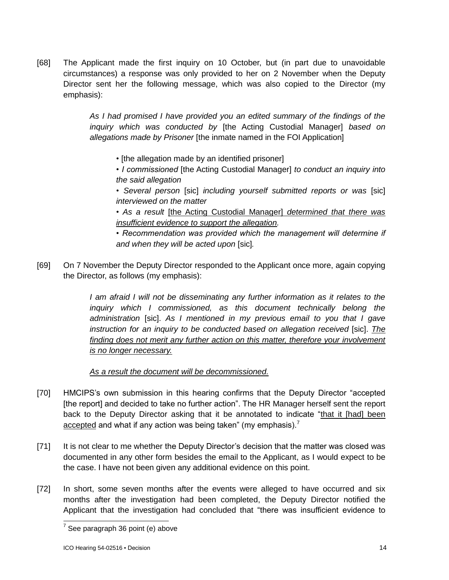[68] The Applicant made the first inquiry on 10 October, but (in part due to unavoidable circumstances) a response was only provided to her on 2 November when the Deputy Director sent her the following message, which was also copied to the Director (my emphasis):

> *As I had promised I have provided you an edited summary of the findings of the inquiry which was conducted by* [the Acting Custodial Manager] *based on allegations made by Prisoner* [the inmate named in the FOI Application]

- *•* [the allegation made by an identified prisoner]
- *I commissioned* [the Acting Custodial Manager] *to conduct an inquiry into the said allegation*
- *Several person* [sic] *including yourself submitted reports or was* [sic] *interviewed on the matter*
- *• As a result* [the Acting Custodial Manager] *determined that there was insufficient evidence to support the allegation.*
- *Recommendation was provided which the management will determine if and when they will be acted upon* [sic]*.*
- [69] On 7 November the Deputy Director responded to the Applicant once more, again copying the Director, as follows (my emphasis):

*I* am afraid *I* will not be disseminating any further information as it relates to the *inquiry which I commissioned, as this document technically belong the administration* [sic]. *As I mentioned in my previous email to you that I gave instruction for an inquiry to be conducted based on allegation received [sic]. The* finding does not merit any further action on this matter, therefore your involvement *is no longer necessary.*

*As a result the document will be decommissioned.*

- [70] HMCIPS's own submission in this hearing confirms that the Deputy Director "accepted [the report] and decided to take no further action". The HR Manager herself sent the report back to the Deputy Director asking that it be annotated to indicate "that it [had] been accepted and what if any action was being taken" (my emphasis).<sup>7</sup>
- [71] It is not clear to me whether the Deputy Director's decision that the matter was closed was documented in any other form besides the email to the Applicant, as I would expect to be the case. I have not been given any additional evidence on this point.
- [72] In short, some seven months after the events were alleged to have occurred and six months after the investigation had been completed, the Deputy Director notified the Applicant that the investigation had concluded that "there was insufficient evidence to

 7 See paragraph 36 point (e) above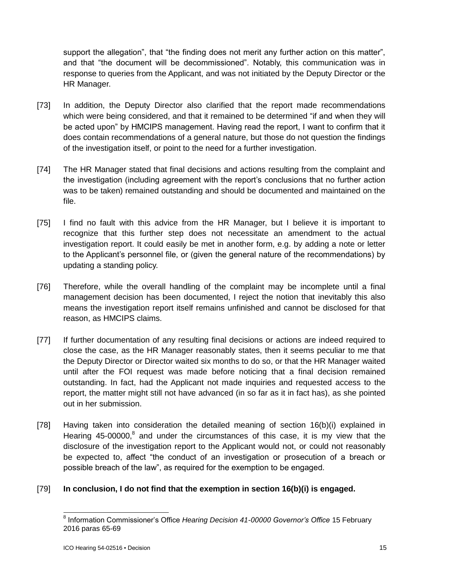support the allegation", that "the finding does not merit any further action on this matter", and that "the document will be decommissioned". Notably, this communication was in response to queries from the Applicant, and was not initiated by the Deputy Director or the HR Manager.

- [73] In addition, the Deputy Director also clarified that the report made recommendations which were being considered, and that it remained to be determined "if and when they will be acted upon" by HMCIPS management. Having read the report, I want to confirm that it does contain recommendations of a general nature, but those do not question the findings of the investigation itself, or point to the need for a further investigation.
- [74] The HR Manager stated that final decisions and actions resulting from the complaint and the investigation (including agreement with the report's conclusions that no further action was to be taken) remained outstanding and should be documented and maintained on the file.
- [75] I find no fault with this advice from the HR Manager, but I believe it is important to recognize that this further step does not necessitate an amendment to the actual investigation report. It could easily be met in another form, e.g. by adding a note or letter to the Applicant's personnel file, or (given the general nature of the recommendations) by updating a standing policy.
- [76] Therefore, while the overall handling of the complaint may be incomplete until a final management decision has been documented, I reject the notion that inevitably this also means the investigation report itself remains unfinished and cannot be disclosed for that reason, as HMCIPS claims.
- [77] If further documentation of any resulting final decisions or actions are indeed required to close the case, as the HR Manager reasonably states, then it seems peculiar to me that the Deputy Director or Director waited six months to do so, or that the HR Manager waited until after the FOI request was made before noticing that a final decision remained outstanding. In fact, had the Applicant not made inquiries and requested access to the report, the matter might still not have advanced (in so far as it in fact has), as she pointed out in her submission.
- [78] Having taken into consideration the detailed meaning of section 16(b)(i) explained in Hearing 45-00000, ${}^{8}$  and under the circumstances of this case, it is my view that the disclosure of the investigation report to the Applicant would not, or could not reasonably be expected to, affect "the conduct of an investigation or prosecution of a breach or possible breach of the law", as required for the exemption to be engaged.

## [79] **In conclusion, I do not find that the exemption in section 16(b)(i) is engaged.**

 8 Information Commissioner's Office *Hearing Decision 41-00000 Governor's Office* 15 February 2016 paras 65-69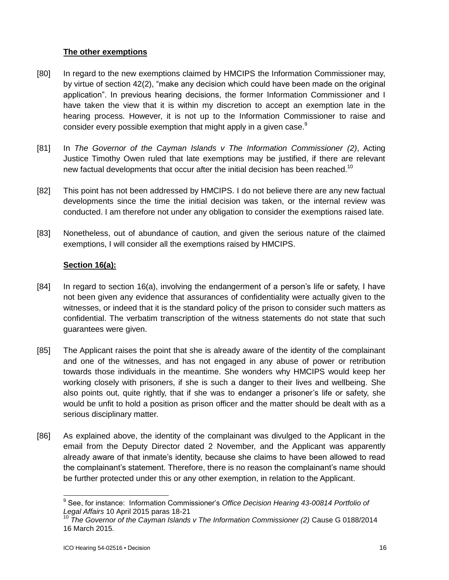## **The other exemptions**

- [80] In regard to the new exemptions claimed by HMCIPS the Information Commissioner may, by virtue of section 42(2), "make any decision which could have been made on the original application". In previous hearing decisions, the former Information Commissioner and I have taken the view that it is within my discretion to accept an exemption late in the hearing process. However, it is not up to the Information Commissioner to raise and consider every possible exemption that might apply in a given case.<sup>9</sup>
- [81] In *The Governor of the Cayman Islands v The Information Commissioner (2)*, Acting Justice Timothy Owen ruled that late exemptions may be justified, if there are relevant new factual developments that occur after the initial decision has been reached.<sup>10</sup>
- [82] This point has not been addressed by HMCIPS. I do not believe there are any new factual developments since the time the initial decision was taken, or the internal review was conducted. I am therefore not under any obligation to consider the exemptions raised late.
- [83] Nonetheless, out of abundance of caution, and given the serious nature of the claimed exemptions, I will consider all the exemptions raised by HMCIPS.

## **Section 16(a):**

- [84] In regard to section 16(a), involving the endangerment of a person's life or safety, I have not been given any evidence that assurances of confidentiality were actually given to the witnesses, or indeed that it is the standard policy of the prison to consider such matters as confidential. The verbatim transcription of the witness statements do not state that such guarantees were given.
- [85] The Applicant raises the point that she is already aware of the identity of the complainant and one of the witnesses, and has not engaged in any abuse of power or retribution towards those individuals in the meantime. She wonders why HMCIPS would keep her working closely with prisoners, if she is such a danger to their lives and wellbeing. She also points out, quite rightly, that if she was to endanger a prisoner's life or safety, she would be unfit to hold a position as prison officer and the matter should be dealt with as a serious disciplinary matter.
- [86] As explained above, the identity of the complainant was divulged to the Applicant in the email from the Deputy Director dated 2 November, and the Applicant was apparently already aware of that inmate's identity, because she claims to have been allowed to read the complainant's statement. Therefore, there is no reason the complainant's name should be further protected under this or any other exemption, in relation to the Applicant.

 9 See, for instance: Information Commissioner's *Office Decision Hearing 43-00814 Portfolio of Legal Affairs* 10 April 2015 paras 18-21

<sup>10</sup> *The Governor of the Cayman Islands v The Information Commissioner (2)* Cause G 0188/2014 16 March 2015.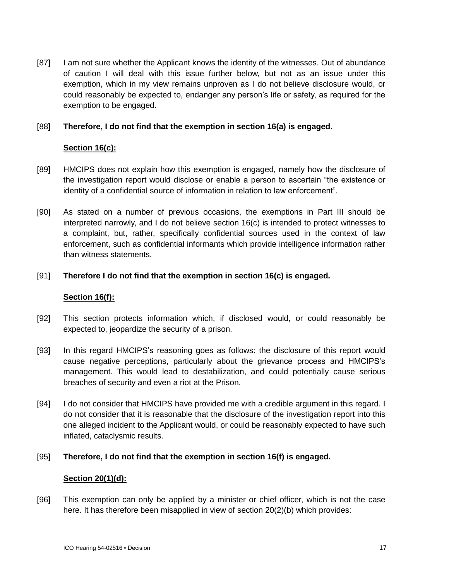[87] I am not sure whether the Applicant knows the identity of the witnesses. Out of abundance of caution I will deal with this issue further below, but not as an issue under this exemption, which in my view remains unproven as I do not believe disclosure would, or could reasonably be expected to, endanger any person's life or safety, as required for the exemption to be engaged.

## [88] **Therefore, I do not find that the exemption in section 16(a) is engaged.**

### **Section 16(c):**

- [89] HMCIPS does not explain how this exemption is engaged, namely how the disclosure of the investigation report would disclose or enable a person to ascertain "the existence or identity of a confidential source of information in relation to law enforcement".
- [90] As stated on a number of previous occasions, the exemptions in Part III should be interpreted narrowly, and I do not believe section 16(c) is intended to protect witnesses to a complaint, but, rather, specifically confidential sources used in the context of law enforcement, such as confidential informants which provide intelligence information rather than witness statements.

#### [91] **Therefore I do not find that the exemption in section 16(c) is engaged.**

#### **Section 16(f):**

- [92] This section protects information which, if disclosed would, or could reasonably be expected to, jeopardize the security of a prison.
- [93] In this regard HMCIPS's reasoning goes as follows: the disclosure of this report would cause negative perceptions, particularly about the grievance process and HMCIPS's management. This would lead to destabilization, and could potentially cause serious breaches of security and even a riot at the Prison.
- [94] I do not consider that HMCIPS have provided me with a credible argument in this regard. I do not consider that it is reasonable that the disclosure of the investigation report into this one alleged incident to the Applicant would, or could be reasonably expected to have such inflated, cataclysmic results.

## [95] **Therefore, I do not find that the exemption in section 16(f) is engaged.**

#### **Section 20(1)(d):**

[96] This exemption can only be applied by a minister or chief officer, which is not the case here. It has therefore been misapplied in view of section 20(2)(b) which provides: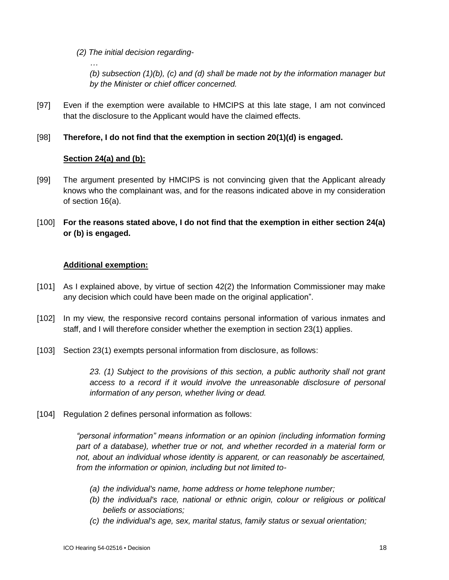*(2) The initial decision regarding-*

*(b) subsection (1)(b), (c) and (d) shall be made not by the information manager but by the Minister or chief officer concerned.*

[97] Even if the exemption were available to HMCIPS at this late stage, I am not convinced that the disclosure to the Applicant would have the claimed effects.

## [98] **Therefore, I do not find that the exemption in section 20(1)(d) is engaged.**

## **Section 24(a) and (b):**

*…*

- [99] The argument presented by HMCIPS is not convincing given that the Applicant already knows who the complainant was, and for the reasons indicated above in my consideration of section 16(a).
- [100] **For the reasons stated above, I do not find that the exemption in either section 24(a) or (b) is engaged.**

## **Additional exemption:**

- [101] As I explained above, by virtue of section 42(2) the Information Commissioner may make any decision which could have been made on the original application".
- [102] In my view, the responsive record contains personal information of various inmates and staff, and I will therefore consider whether the exemption in section 23(1) applies.
- [103] Section 23(1) exempts personal information from disclosure, as follows:

*23. (1) Subject to the provisions of this section, a public authority shall not grant*  access to a record if it would involve the unreasonable disclosure of personal *information of any person, whether living or dead.*

[104] Regulation 2 defines personal information as follows:

*"personal information" means information or an opinion (including information forming*  part of a database), whether true or not, and whether recorded in a material form or *not, about an individual whose identity is apparent, or can reasonably be ascertained, from the information or opinion, including but not limited to-*

- *(a) the individual's name, home address or home telephone number;*
- *(b) the individual's race, national or ethnic origin, colour or religious or political beliefs or associations;*
- *(c) the individual's age, sex, marital status, family status or sexual orientation;*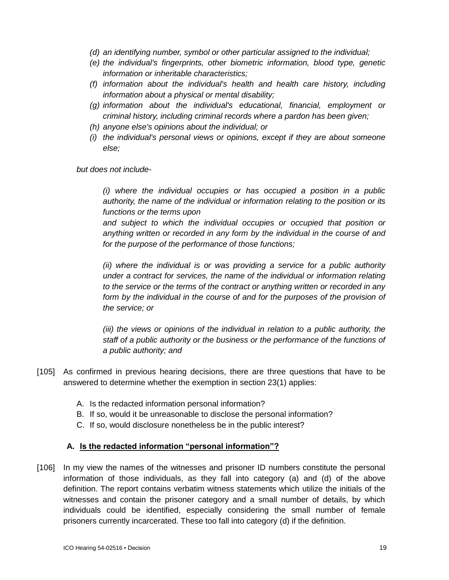- *(d) an identifying number, symbol or other particular assigned to the individual;*
- *(e) the individual's fingerprints, other biometric information, blood type, genetic information or inheritable characteristics;*
- *(f) information about the individual's health and health care history, including information about a physical or mental disability;*
- *(g) information about the individual's educational, financial, employment or criminal history, including criminal records where a pardon has been given;*
- *(h) anyone else's opinions about the individual; or*
- *(i) the individual's personal views or opinions, except if they are about someone else;*

*but does not include-*

*(i) where the individual occupies or has occupied a position in a public authority, the name of the individual or information relating to the position or its functions or the terms upon*

*and subject to which the individual occupies or occupied that position or anything written or recorded in any form by the individual in the course of and for the purpose of the performance of those functions;*

*(ii) where the individual is or was providing a service for a public authority under a contract for services, the name of the individual or information relating to the service or the terms of the contract or anything written or recorded in any form by the individual in the course of and for the purposes of the provision of the service; or*

*(iii) the views or opinions of the individual in relation to a public authority, the staff of a public authority or the business or the performance of the functions of a public authority; and*

- [105] As confirmed in previous hearing decisions, there are three questions that have to be answered to determine whether the exemption in section 23(1) applies:
	- A. Is the redacted information personal information?
	- B. If so, would it be unreasonable to disclose the personal information?
	- C. If so, would disclosure nonetheless be in the public interest?

## **A. Is the redacted information "personal information"?**

[106] In my view the names of the witnesses and prisoner ID numbers constitute the personal information of those individuals, as they fall into category (a) and (d) of the above definition. The report contains verbatim witness statements which utilize the initials of the witnesses and contain the prisoner category and a small number of details, by which individuals could be identified, especially considering the small number of female prisoners currently incarcerated. These too fall into category (d) if the definition.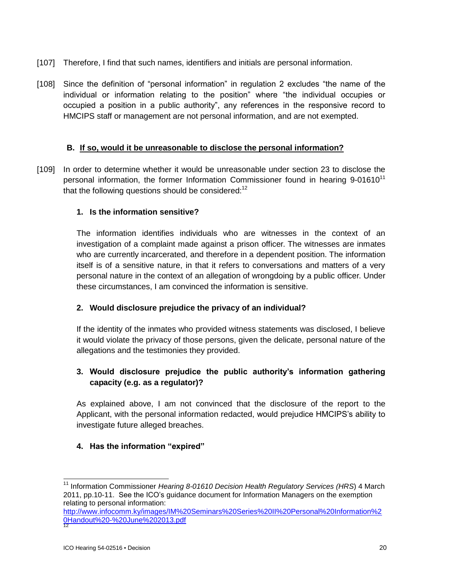- [107] Therefore, I find that such names, identifiers and initials are personal information.
- [108] Since the definition of "personal information" in regulation 2 excludes "the name of the individual or information relating to the position" where "the individual occupies or occupied a position in a public authority", any references in the responsive record to HMCIPS staff or management are not personal information, and are not exempted.

## **B. If so, would it be unreasonable to disclose the personal information?**

[109] In order to determine whether it would be unreasonable under section 23 to disclose the personal information, the former Information Commissioner found in hearing  $9-01610<sup>11</sup>$ that the following questions should be considered: $12$ 

## **1. Is the information sensitive?**

The information identifies individuals who are witnesses in the context of an investigation of a complaint made against a prison officer. The witnesses are inmates who are currently incarcerated, and therefore in a dependent position. The information itself is of a sensitive nature, in that it refers to conversations and matters of a very personal nature in the context of an allegation of wrongdoing by a public officer. Under these circumstances, I am convinced the information is sensitive.

## **2. Would disclosure prejudice the privacy of an individual?**

If the identity of the inmates who provided witness statements was disclosed, I believe it would violate the privacy of those persons, given the delicate, personal nature of the allegations and the testimonies they provided.

## **3. Would disclosure prejudice the public authority's information gathering capacity (e.g. as a regulator)?**

As explained above, I am not convinced that the disclosure of the report to the Applicant, with the personal information redacted, would prejudice HMCIPS's ability to investigate future alleged breaches.

## **4. Has the information "expired"**

 $\overline{a}$ 

<sup>&</sup>lt;sup>11</sup> Information Commissioner *Hearing 8-01610 Decision Health Regulatory Services (HRS*) 4 March 2011, pp.10-11. See the ICO's guidance document for Information Managers on the exemption relating to personal information:

[http://www.infocomm.ky/images/IM%20Seminars%20Series%20II%20Personal%20Information%2](http://www.infocomm.ky/images/IM%20Seminars%20Series%20II%20Personal%20Information%20Handout%20-%20June%202013.pdf) [0Handout%20-%20June%202013.pdf](http://www.infocomm.ky/images/IM%20Seminars%20Series%20II%20Personal%20Information%20Handout%20-%20June%202013.pdf) 12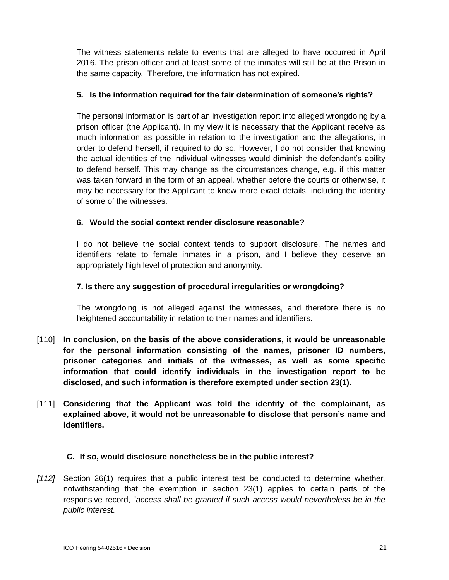The witness statements relate to events that are alleged to have occurred in April 2016. The prison officer and at least some of the inmates will still be at the Prison in the same capacity. Therefore, the information has not expired.

## **5. Is the information required for the fair determination of someone's rights?**

The personal information is part of an investigation report into alleged wrongdoing by a prison officer (the Applicant). In my view it is necessary that the Applicant receive as much information as possible in relation to the investigation and the allegations, in order to defend herself, if required to do so. However, I do not consider that knowing the actual identities of the individual witnesses would diminish the defendant's ability to defend herself. This may change as the circumstances change, e.g. if this matter was taken forward in the form of an appeal, whether before the courts or otherwise, it may be necessary for the Applicant to know more exact details, including the identity of some of the witnesses.

## **6. Would the social context render disclosure reasonable?**

I do not believe the social context tends to support disclosure. The names and identifiers relate to female inmates in a prison, and I believe they deserve an appropriately high level of protection and anonymity.

## **7. Is there any suggestion of procedural irregularities or wrongdoing?**

The wrongdoing is not alleged against the witnesses, and therefore there is no heightened accountability in relation to their names and identifiers.

- [110] **In conclusion, on the basis of the above considerations, it would be unreasonable for the personal information consisting of the names, prisoner ID numbers, prisoner categories and initials of the witnesses, as well as some specific information that could identify individuals in the investigation report to be disclosed, and such information is therefore exempted under section 23(1).**
- [111] **Considering that the Applicant was told the identity of the complainant, as explained above, it would not be unreasonable to disclose that person's name and identifiers.**

## **C. If so, would disclosure nonetheless be in the public interest?**

*[112]* Section 26(1) requires that a public interest test be conducted to determine whether, notwithstanding that the exemption in section 23(1) applies to certain parts of the responsive record, "*access shall be granted if such access would nevertheless be in the public interest.*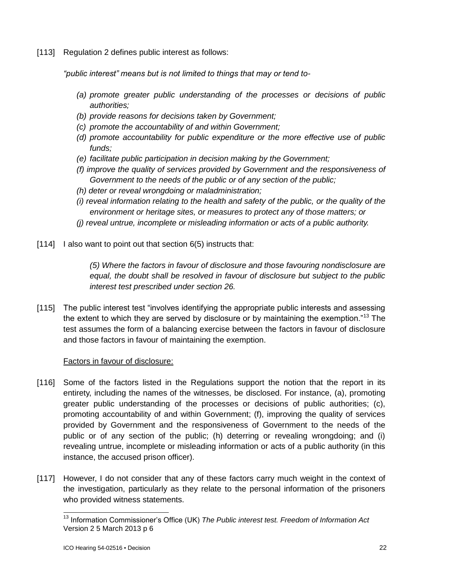[113] Regulation 2 defines public interest as follows:

*"public interest" means but is not limited to things that may or tend to-*

- *(a) promote greater public understanding of the processes or decisions of public authorities;*
- *(b) provide reasons for decisions taken by Government;*
- *(c) promote the accountability of and within Government;*
- *(d) promote accountability for public expenditure or the more effective use of public funds;*
- *(e) facilitate public participation in decision making by the Government;*
- *(f) improve the quality of services provided by Government and the responsiveness of Government to the needs of the public or of any section of the public;*
- *(h) deter or reveal wrongdoing or maladministration;*
- *(i) reveal information relating to the health and safety of the public, or the quality of the environment or heritage sites, or measures to protect any of those matters; or*
- *(j) reveal untrue, incomplete or misleading information or acts of a public authority.*
- [114] I also want to point out that section 6(5) instructs that:

*(5) Where the factors in favour of disclosure and those favouring nondisclosure are equal, the doubt shall be resolved in favour of disclosure but subject to the public interest test prescribed under section 26.*

[115] The public interest test "involves identifying the appropriate public interests and assessing the extent to which they are served by disclosure or by maintaining the exemption."<sup>13</sup> The test assumes the form of a balancing exercise between the factors in favour of disclosure and those factors in favour of maintaining the exemption.

## Factors in favour of disclosure:

- [116] Some of the factors listed in the Regulations support the notion that the report in its entirety, including the names of the witnesses, be disclosed. For instance, (a), promoting greater public understanding of the processes or decisions of public authorities; (c), promoting accountability of and within Government; (f), improving the quality of services provided by Government and the responsiveness of Government to the needs of the public or of any section of the public; (h) deterring or revealing wrongdoing; and (i) revealing untrue, incomplete or misleading information or acts of a public authority (in this instance, the accused prison officer).
- [117] However, I do not consider that any of these factors carry much weight in the context of the investigation, particularly as they relate to the personal information of the prisoners who provided witness statements.

 $\overline{a}$ <sup>13</sup> Information Commissioner's Office (UK) *The Public interest test. Freedom of Information Act*  Version 2 5 March 2013 p 6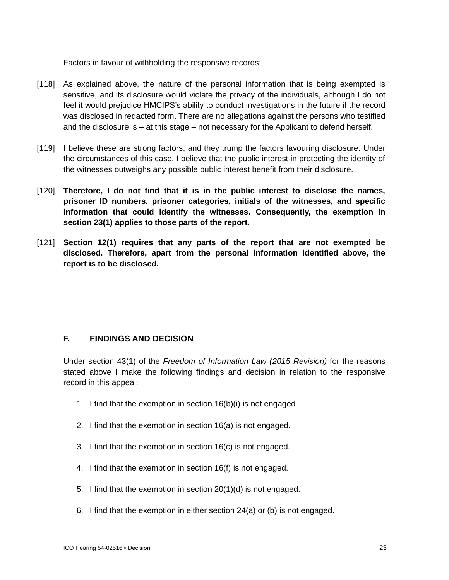## Factors in favour of withholding the responsive records:

- [118] As explained above, the nature of the personal information that is being exempted is sensitive, and its disclosure would violate the privacy of the individuals, although I do not feel it would prejudice HMCIPS's ability to conduct investigations in the future if the record was disclosed in redacted form. There are no allegations against the persons who testified and the disclosure is – at this stage – not necessary for the Applicant to defend herself.
- [119] I believe these are strong factors, and they trump the factors favouring disclosure. Under the circumstances of this case, I believe that the public interest in protecting the identity of the witnesses outweighs any possible public interest benefit from their disclosure.
- [120] **Therefore, I do not find that it is in the public interest to disclose the names, prisoner ID numbers, prisoner categories, initials of the witnesses, and specific information that could identify the witnesses. Consequently, the exemption in section 23(1) applies to those parts of the report.**
- [121] **Section 12(1) requires that any parts of the report that are not exempted be disclosed. Therefore, apart from the personal information identified above, the report is to be disclosed.**

# **F. FINDINGS AND DECISION**

Under section 43(1) of the *Freedom of Information Law (2015 Revision)* for the reasons stated above I make the following findings and decision in relation to the responsive record in this appeal:

- 1. I find that the exemption in section 16(b)(i) is not engaged
- 2. I find that the exemption in section 16(a) is not engaged.
- 3. I find that the exemption in section 16(c) is not engaged.
- 4. I find that the exemption in section 16(f) is not engaged.
- 5. I find that the exemption in section 20(1)(d) is not engaged.
- 6. I find that the exemption in either section 24(a) or (b) is not engaged.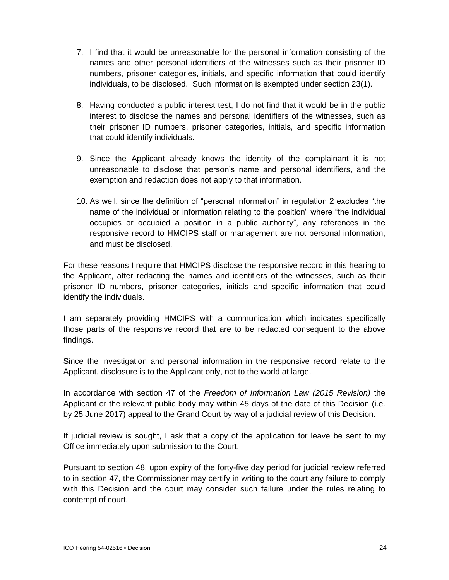- 7. I find that it would be unreasonable for the personal information consisting of the names and other personal identifiers of the witnesses such as their prisoner ID numbers, prisoner categories, initials, and specific information that could identify individuals, to be disclosed. Such information is exempted under section 23(1).
- 8. Having conducted a public interest test, I do not find that it would be in the public interest to disclose the names and personal identifiers of the witnesses, such as their prisoner ID numbers, prisoner categories, initials, and specific information that could identify individuals.
- 9. Since the Applicant already knows the identity of the complainant it is not unreasonable to disclose that person's name and personal identifiers, and the exemption and redaction does not apply to that information.
- 10. As well, since the definition of "personal information" in regulation 2 excludes "the name of the individual or information relating to the position" where "the individual occupies or occupied a position in a public authority", any references in the responsive record to HMCIPS staff or management are not personal information, and must be disclosed.

For these reasons I require that HMCIPS disclose the responsive record in this hearing to the Applicant, after redacting the names and identifiers of the witnesses, such as their prisoner ID numbers, prisoner categories, initials and specific information that could identify the individuals.

I am separately providing HMCIPS with a communication which indicates specifically those parts of the responsive record that are to be redacted consequent to the above findings.

Since the investigation and personal information in the responsive record relate to the Applicant, disclosure is to the Applicant only, not to the world at large.

In accordance with section 47 of the *Freedom of Information Law (2015 Revision)* the Applicant or the relevant public body may within 45 days of the date of this Decision (i.e. by 25 June 2017) appeal to the Grand Court by way of a judicial review of this Decision.

If judicial review is sought, I ask that a copy of the application for leave be sent to my Office immediately upon submission to the Court.

Pursuant to section 48, upon expiry of the forty-five day period for judicial review referred to in section 47, the Commissioner may certify in writing to the court any failure to comply with this Decision and the court may consider such failure under the rules relating to contempt of court.